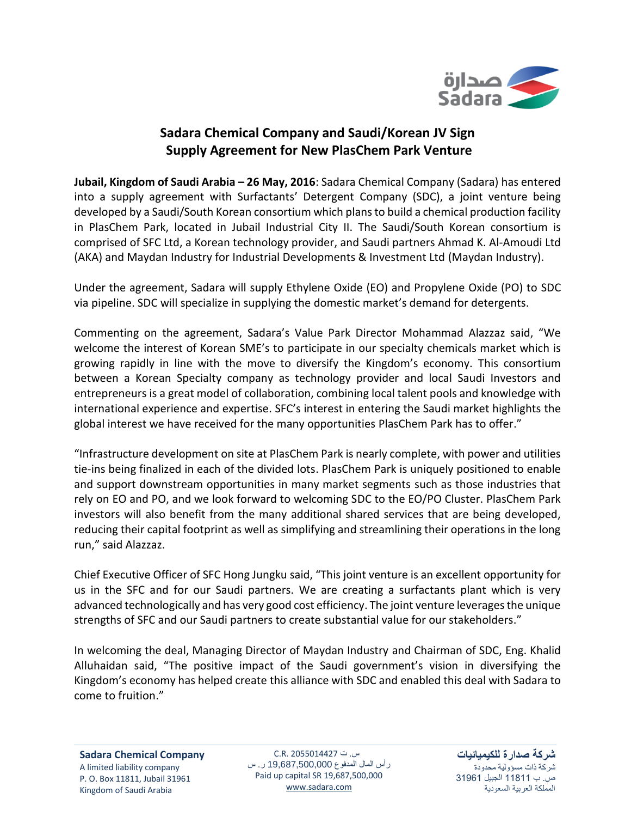

## **Sadara Chemical Company and Saudi/Korean JV Sign Supply Agreement for New PlasChem Park Venture**

**Jubail, Kingdom of Saudi Arabia – 26 May, 2016**: Sadara Chemical Company (Sadara) has entered into a supply agreement with Surfactants' Detergent Company (SDC), a joint venture being developed by a Saudi/South Korean consortium which plans to build a chemical production facility in PlasChem Park, located in Jubail Industrial City II. The Saudi/South Korean consortium is comprised of SFC Ltd, a Korean technology provider, and Saudi partners Ahmad K. Al-Amoudi Ltd (AKA) and Maydan Industry for Industrial Developments & Investment Ltd (Maydan Industry).

Under the agreement, Sadara will supply Ethylene Oxide (EO) and Propylene Oxide (PO) to SDC via pipeline. SDC will specialize in supplying the domestic market's demand for detergents.

Commenting on the agreement, Sadara's Value Park Director Mohammad Alazzaz said, "We welcome the interest of Korean SME's to participate in our specialty chemicals market which is growing rapidly in line with the move to diversify the Kingdom's economy. This consortium between a Korean Specialty company as technology provider and local Saudi Investors and entrepreneurs is a great model of collaboration, combining local talent pools and knowledge with international experience and expertise. SFC's interest in entering the Saudi market highlights the global interest we have received for the many opportunities PlasChem Park has to offer."

"Infrastructure development on site at PlasChem Park is nearly complete, with power and utilities tie-ins being finalized in each of the divided lots. PlasChem Park is uniquely positioned to enable and support downstream opportunities in many market segments such as those industries that rely on EO and PO, and we look forward to welcoming SDC to the EO/PO Cluster. PlasChem Park investors will also benefit from the many additional shared services that are being developed, reducing their capital footprint as well as simplifying and streamlining their operations in the long run," said Alazzaz.

Chief Executive Officer of SFC Hong Jungku said, "This joint venture is an excellent opportunity for us in the SFC and for our Saudi partners. We are creating a surfactants plant which is very advanced technologically and has very good cost efficiency. The joint venture leverages the unique strengths of SFC and our Saudi partners to create substantial value for our stakeholders."

In welcoming the deal, Managing Director of Maydan Industry and Chairman of SDC, Eng. Khalid Alluhaidan said, "The positive impact of the Saudi government's vision in diversifying the Kingdom's economy has helped create this alliance with SDC and enabled this deal with Sadara to come to fruition."

س. ت 2055014427 .R.C رأس المال المدفوع 19,687,500,000 ر. س Paid up capital SR 19,687,500,000 [www.sadara.com](http://www.sadara.com/)